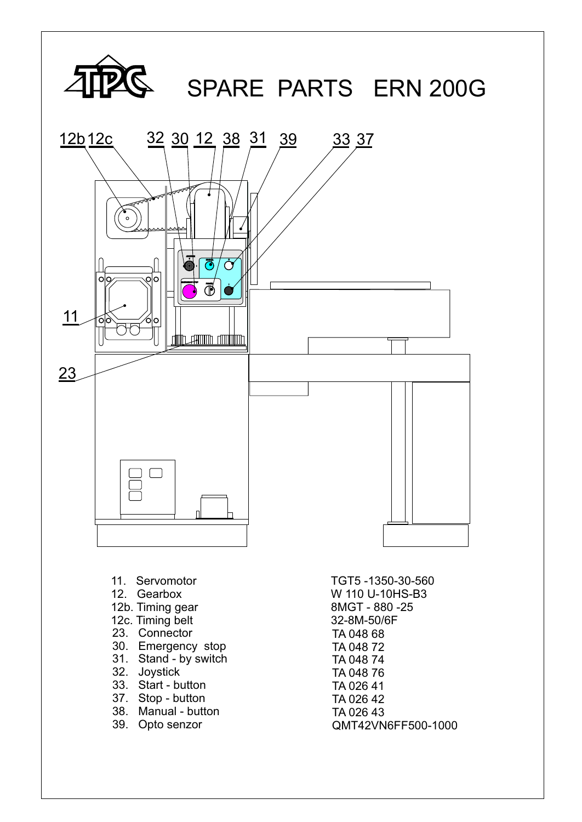

- 33. Start button
- 37. Stop button
- 38. Manual button
- 39. Opto senzor

TA 026 41 TA 026 42 TA 026 43 QMT42VN6FF500-1000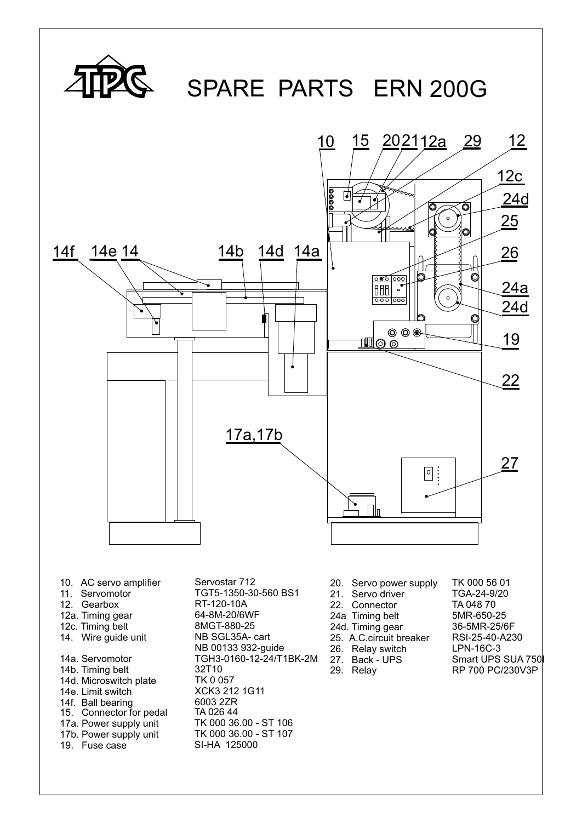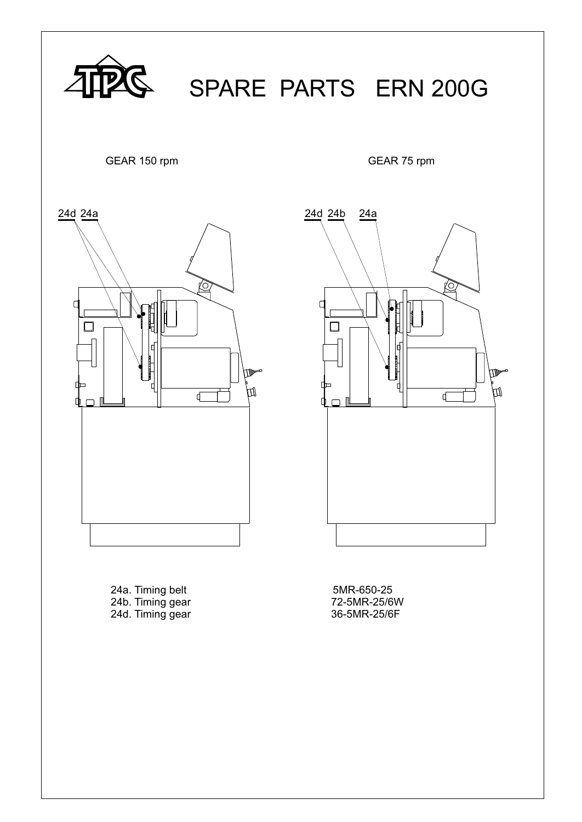